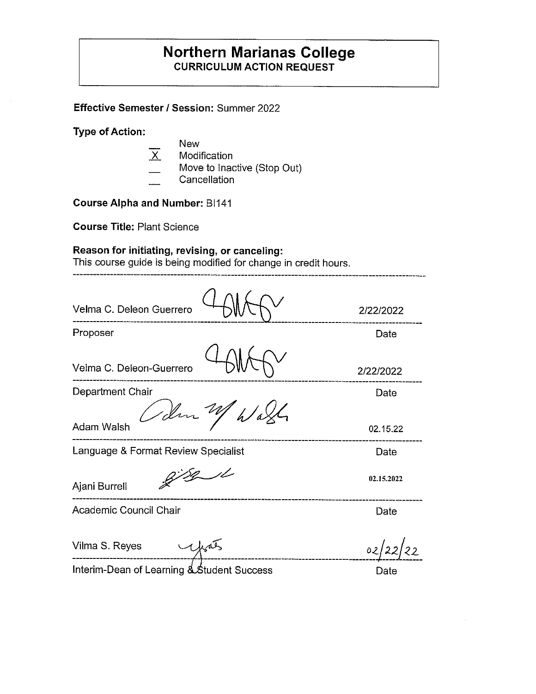# **Northern Marianas College CURRICULUM ACTION REQUEST**

**Effective Semester/ Session:** Summer 2022

**Type of Action:** 

- New
- $\overline{X}$ Modification
- Move to Inactive (Stop Out)
- **Cancellation**

**Course Alpha and Number:** BI141

**Course Title:** Plant Science

## **Reason for initiating, revising, or canceling:**

This course guide is being modified for change in credit hours.

-----------------------------------

| Velma C. Deleon Guerrero                   | 2/22/2022  |
|--------------------------------------------|------------|
| Proposer                                   | Date       |
| Velma C. Deleon-Guerrero                   | 2/22/2022  |
| Department Chair                           | Date       |
| Idm M<br><b>Adam Walsh</b>                 | 02.15.22   |
| Language & Format Review Specialist        | Date       |
| Ajani Burrell                              | 02.15.2022 |
| Academic Council Chair                     | Date       |
| Vilma S. Reyes                             | 02         |
| Interim-Dean of Learning & Student Success | Date       |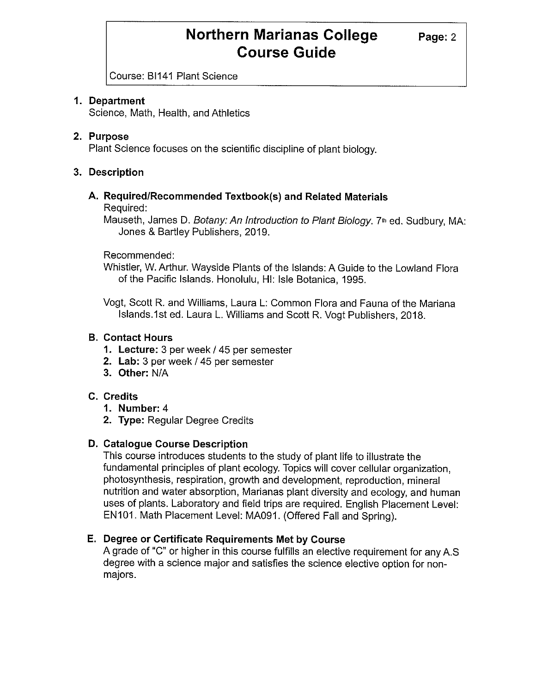# **Northern Marianas College** Page: 2 **Course Guide**

Course: BI141 Plant Science

## **1. Department**

Science, Math, Health, and Athletics

### **2. Purpose**

Plant Science focuses on the scientific discipline of plant biology.

## **3. Description**

# **A. Required/Recommended Textbook(s) and Related Materials**

Required:

Mauseth, James D. Botany: An Introduction to Plant Biology. 7<sup>th</sup> ed. Sudbury, MA: Jones & Bartley Publishers, 2019.

Recommended:

Whistler, W. Arthur. Wayside Plants of the Islands: A Guide to the Lowland Flora of the Pacific Islands. Honolulu, HI: Isle Botanica, 1995.

Vogt, Scott R. and Williams, Laura L: Common Flora and Fauna of the Mariana Islands.1st ed. Laura L. Williams and Scott R. Vogt Publishers, 2018.

### **B. Contact Hours**

- **1. Lecture:** 3 per week/ 45 per semester
- **2. Lab:** 3 per week/ 45 per semester
- **3. Other:** N/A

## **C. Credits**

- **1. Number:** 4
- **2. Type:** Regular Degree Credits

### **D. Catalogue Course Description**

This course introduces students to the study of plant life to illustrate the fundamental principles of plant ecology. Topics will cover cellular organization, photosynthesis, respiration, growth and development, reproduction, mineral nutrition and water absorption, Marianas plant diversity and ecology, and human uses of plants. Laboratory and field trips are required. English Placement Level: EN101. Math Placement Level: MA091. (Offered Fall and Spring).

## **E. Degree or Certificate Requirements Met by Course**

A grade of "C" or higher in this course fulfills an elective requirement for any A.S degree with a science major and satisfies the science elective option for nonmajors.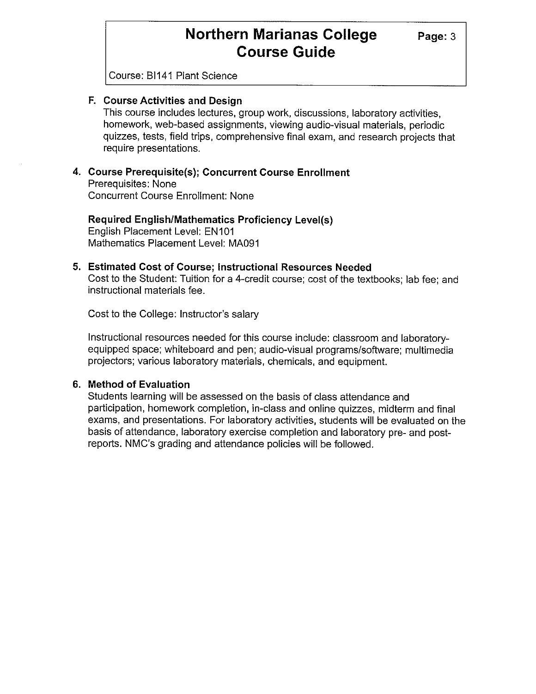# **Northern Marianas College** Page: 3 **Course Guide**

Course: BI141 Plant Science

### **F. Course Activities and Design**

This course includes lectures, group work, discussions, laboratory activities, homework, web-based assignments, viewing audio-visual materials, periodic quizzes, tests, field trips, comprehensive final exam, and research projects that require presentations.

#### **4. Course Prerequisite(s); Concurrent Course Enrollment**  Prerequisites: None Concurrent Course Enrollment: None

**Required English/Mathematics Proficiency Level(s)**  English Placement Level: EN101 Mathematics Placement Level: MA091

# **5. Estimated Cost of Course; Instructional Resources Needed**

Cost to the Student: Tuition for a 4-credit course; cost of the textbooks; lab fee; and instructional materials fee.

Cost to the College: Instructor's salary

Instructional resources needed for this course include: classroom and laboratoryequipped space; whiteboard and pen; audio-visual programs/software; multimedia projectors; various laboratory materials, chemicals, and equipment.

#### **6. Method of Evaluation**

Students learning will be assessed on the basis of class attendance and participation, homework completion, in-class and online quizzes, midterm and final exams, and presentations. For laboratory activities, students will be evaluated on the basis of attendance, laboratory exercise completion and laboratory pre- and postreports. NMC's grading and attendance policies will be followed.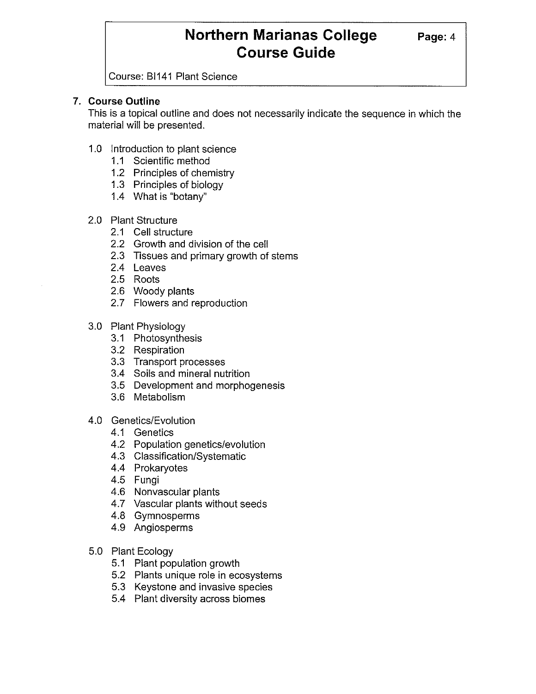# **Northern Marianas College Page: 4 Course Guide**

Course: BI141 Plant Science

### **7. Course Outline**

This is a topical outline and does not necessarily indicate the sequence in which the material will be presented.

- 1.0 Introduction to plant science
	- 1.1 Scientific method
	- 1.2 Principles of chemistry
	- 1.3 Principles of biology
	- 1.4 What is "botany"
- 2.0 Plant Structure
	- 2.1 Cell structure
	- 2.2 Growth and division of the cell
	- 2.3 Tissues and primary growth of stems
	- 2.4 Leaves
	- 2.5 Roots
	- 2.6 Woody plants
	- 2.7 Flowers and reproduction
- 3.0 Plant Physiology
	- 3.1 Photosynthesis
	- 3.2 Respiration
	- 3.3 Transport processes
	- 3.4 Soils and mineral nutrition
	- 3.5 Development and morphogenesis
	- 3.6 Metabolism
- 4.0 Genetics/Evolution
	- 4.1 Genetics
	- 4.2 Population genetics/evolution
	- 4.3 Classification/Systematic
	- 4.4 Prokaryotes
	- 4.5 Fungi
	- 4.6 Nonvascular plants
	- 4.7 Vascular plants without seeds
	- 4.8 Gymnosperms
	- 4.9 Angiosperms
- 5.0 Plant Ecology
	- 5.1 Plant population growth
	- 5.2 Plants unique role in ecosystems
	- 5.3 Keystone and invasive species
	- 5.4 Plant diversity across biomes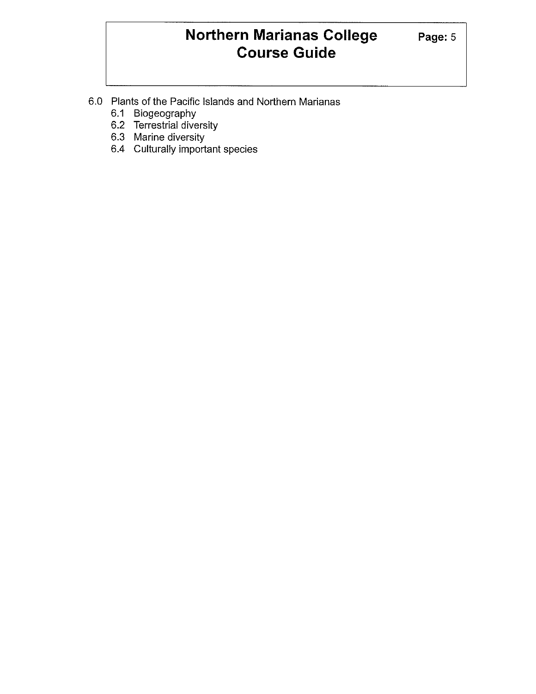# **Northern Marianas College** Page: 5 **Course Guide**

- 6.0 Plants of the Pacific Islands and Northern Marianas
	- 6.1 Biogeography
	- 6.2 Terrestrial diversity
	- 6.3 Marine diversity
	- 6.4 Culturally important species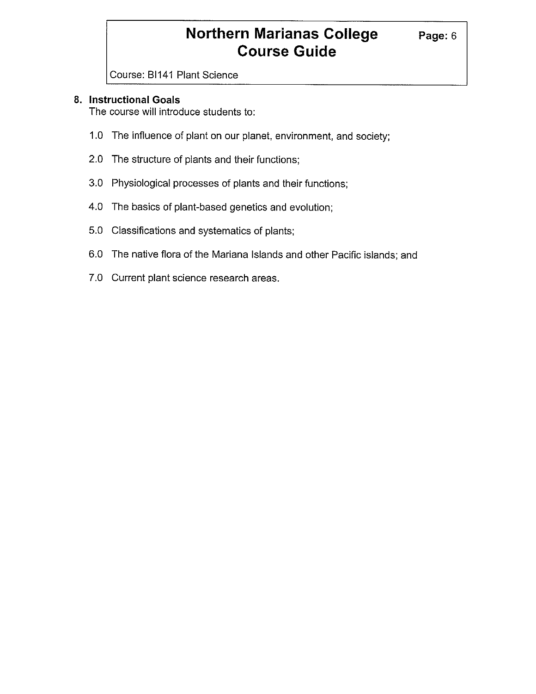# **Northern Marianas College** Page: 6 **Course Guide**

Course: BI141 Plant Science

## **8. Instructional Goals**

The course will introduce students to:

- 1.0 The influence of plant on our planet, environment, and society;
- 2.0 The structure of plants and their functions;
- 3.0 Physiological processes of plants and their functions;
- 4.0 The basics of plant-based genetics and evolution;
- 5.0 Classifications and systematics of plants;
- 6.0 The native flora of the Mariana Islands and other Pacific islands; and
- 7.0 Current plant science research areas.